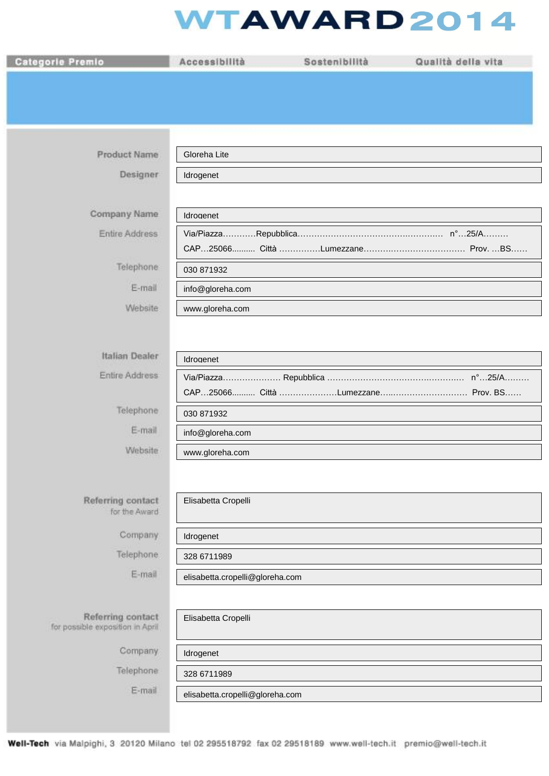## **WTAWARD2014**

| <b>Categorie Premio</b>                               | Accessibilità                   | Sostenibilità | Qualità della vita |
|-------------------------------------------------------|---------------------------------|---------------|--------------------|
|                                                       |                                 |               |                    |
|                                                       |                                 |               |                    |
|                                                       |                                 |               |                    |
| <b>Product Name</b>                                   | Gloreha Lite                    |               |                    |
| Designer                                              | Idrogenet                       |               |                    |
|                                                       |                                 |               |                    |
| Company Name                                          | Idroaenet                       |               |                    |
| Entire Address                                        |                                 |               |                    |
| Telephone                                             | 030 871932                      |               |                    |
| E-mail                                                | info@gloreha.com                |               |                    |
| Website                                               | www.gloreha.com                 |               |                    |
|                                                       |                                 |               |                    |
| <b>Italian Dealer</b>                                 | Idroaenet                       |               |                    |
| Entire Address                                        |                                 |               |                    |
|                                                       |                                 |               |                    |
| Telephone                                             | 030 871932                      |               |                    |
| E-mail<br>Website                                     | info@gloreha.com                |               |                    |
|                                                       | www.gloreha.com                 |               |                    |
|                                                       |                                 |               |                    |
| Referring contact<br>for the Award                    | Elisabetta Cropelli             |               |                    |
| Company                                               | Idrogenet                       |               |                    |
| Telephone:                                            | 328 6711989                     |               |                    |
| E-mail                                                | elisabetta.cropelli@gloreha.com |               |                    |
|                                                       |                                 |               |                    |
| Referring contact<br>for possible exposition in April | Elisabetta Cropelli             |               |                    |
| Company                                               | Idrogenet                       |               |                    |
| Telephone                                             | 328 6711989                     |               |                    |
| E-mail                                                | elisabetta.cropelli@gloreha.com |               |                    |
|                                                       |                                 |               |                    |